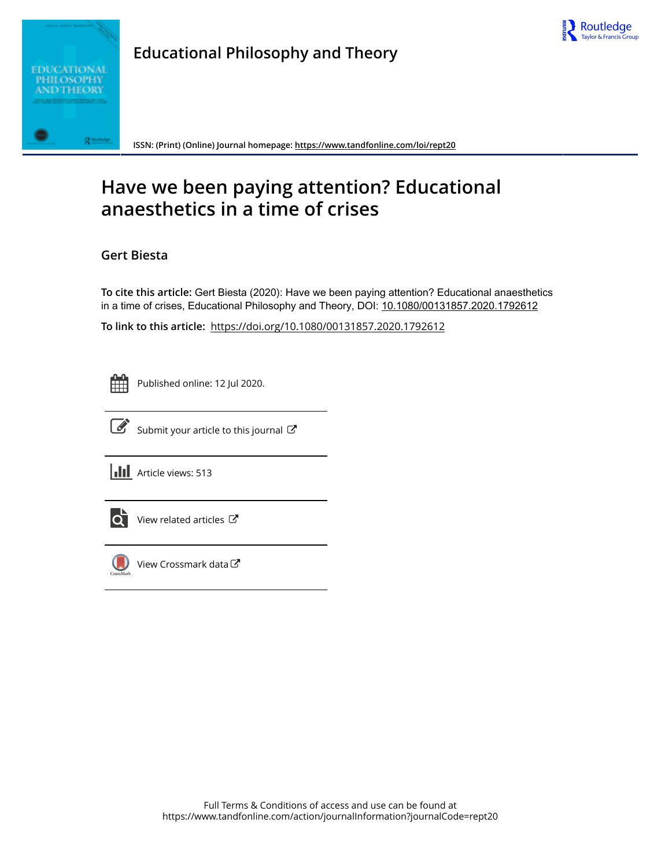



**Educational Philosophy and Theory**

**ISSN: (Print) (Online) Journal homepage:<https://www.tandfonline.com/loi/rept20>**

# **Have we been paying attention? Educational anaesthetics in a time of crises**

### **Gert Biesta**

**To cite this article:** Gert Biesta (2020): Have we been paying attention? Educational anaesthetics in a time of crises, Educational Philosophy and Theory, DOI: [10.1080/00131857.2020.1792612](https://www.tandfonline.com/action/showCitFormats?doi=10.1080/00131857.2020.1792612)

**To link to this article:** <https://doi.org/10.1080/00131857.2020.1792612>

Published online: 12 Jul 2020.



 $\overrightarrow{S}$  [Submit your article to this journal](https://www.tandfonline.com/action/authorSubmission?journalCode=rept20&show=instructions)  $\overrightarrow{S}$ 

**III** Article views: 513



 $\overrightarrow{Q}$  [View related articles](https://www.tandfonline.com/doi/mlt/10.1080/00131857.2020.1792612)  $\overrightarrow{C}$ 



[View Crossmark data](http://crossmark.crossref.org/dialog/?doi=10.1080/00131857.2020.1792612&domain=pdf&date_stamp=2020-07-12)  $\sigma$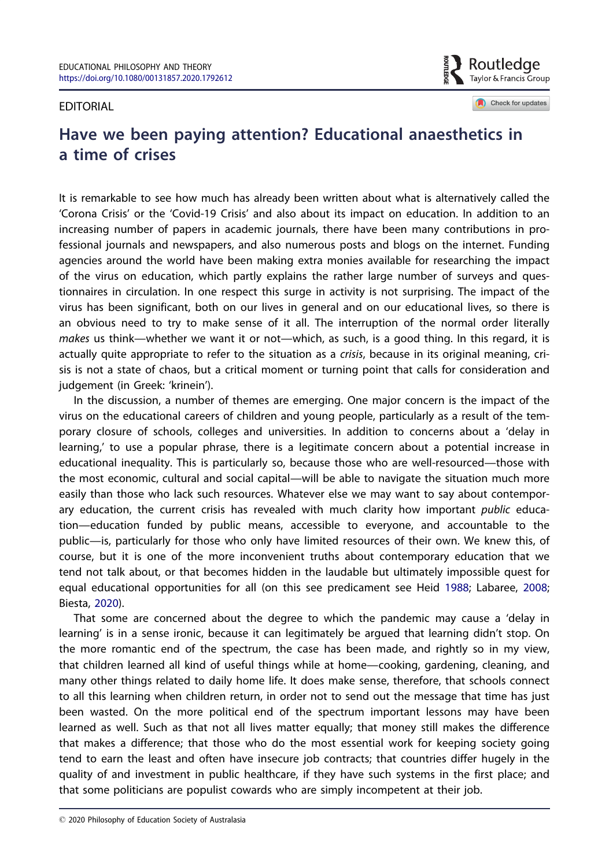#### <span id="page-1-0"></span>EDITORIAL

Routledae Taylor & Francis Group

Check for updates

## Have we been paying attention? Educational anaesthetics in a time of crises

It is remarkable to see how much has already been written about what is alternatively called the 'Corona Crisis' or the 'Covid-19 Crisis' and also about its impact on education. In addition to an increasing number of papers in academic journals, there have been many contributions in professional journals and newspapers, and also numerous posts and blogs on the internet. Funding agencies around the world have been making extra monies available for researching the impact of the virus on education, which partly explains the rather large number of surveys and questionnaires in circulation. In one respect this surge in activity is not surprising. The impact of the virus has been significant, both on our lives in general and on our educational lives, so there is an obvious need to try to make sense of it all. The interruption of the normal order literally makes us think—whether we want it or not—which, as such, is a good thing. In this regard, it is actually quite appropriate to refer to the situation as a crisis, because in its original meaning, crisis is not a state of chaos, but a critical moment or turning point that calls for consideration and judgement (in Greek: 'krinein').

In the discussion, a number of themes are emerging. One major concern is the impact of the virus on the educational careers of children and young people, particularly as a result of the temporary closure of schools, colleges and universities. In addition to concerns about a 'delay in learning,' to use a popular phrase, there is a legitimate concern about a potential increase in educational inequality. This is particularly so, because those who are well-resourced—those with the most economic, cultural and social capital—will be able to navigate the situation much more easily than those who lack such resources. Whatever else we may want to say about contemporary education, the current crisis has revealed with much clarity how important public education—education funded by public means, accessible to everyone, and accountable to the public—is, particularly for those who only have limited resources of their own. We knew this, of course, but it is one of the more inconvenient truths about contemporary education that we tend not talk about, or that becomes hidden in the laudable but ultimately impossible quest for equal educational opportunities for all (on this see predicament see Heid [1988;](#page-3-0) Labaree, [2008](#page-3-0); Biesta, [2020](#page-3-0)).

That some are concerned about the degree to which the pandemic may cause a 'delay in learning' is in a sense ironic, because it can legitimately be argued that learning didn't stop. On the more romantic end of the spectrum, the case has been made, and rightly so in my view, that children learned all kind of useful things while at home—cooking, gardening, cleaning, and many other things related to daily home life. It does make sense, therefore, that schools connect to all this learning when children return, in order not to send out the message that time has just been wasted. On the more political end of the spectrum important lessons may have been learned as well. Such as that not all lives matter equally; that money still makes the difference that makes a difference; that those who do the most essential work for keeping society going tend to earn the least and often have insecure job contracts; that countries differ hugely in the quality of and investment in public healthcare, if they have such systems in the first place; and that some politicians are populist cowards who are simply incompetent at their job.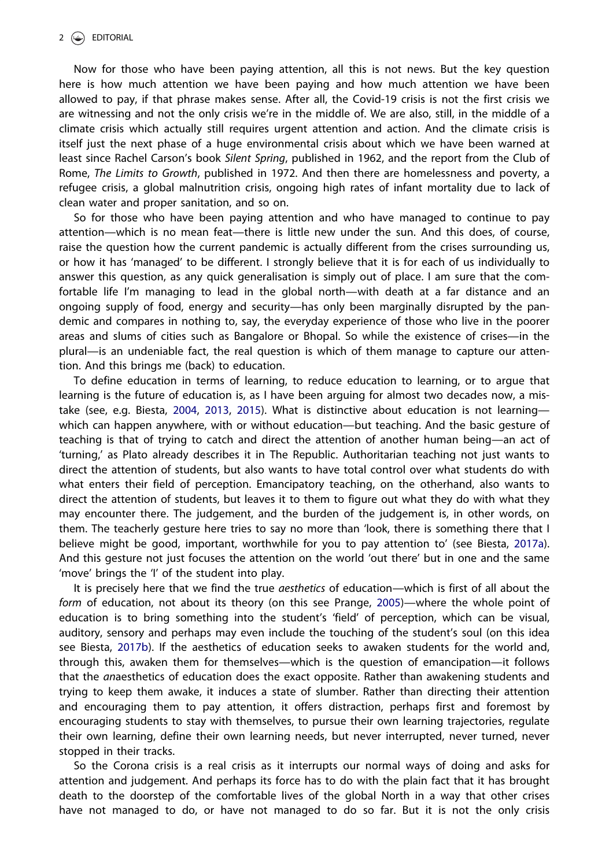<span id="page-2-0"></span>Now for those who have been paying attention, all this is not news. But the key question here is how much attention we have been paying and how much attention we have been allowed to pay, if that phrase makes sense. After all, the Covid-19 crisis is not the first crisis we are witnessing and not the only crisis we're in the middle of. We are also, still, in the middle of a climate crisis which actually still requires urgent attention and action. And the climate crisis is itself just the next phase of a huge environmental crisis about which we have been warned at least since Rachel Carson's book Silent Spring, published in 1962, and the report from the Club of Rome, The Limits to Growth, published in 1972. And then there are homelessness and poverty, a refugee crisis, a global malnutrition crisis, ongoing high rates of infant mortality due to lack of clean water and proper sanitation, and so on.

So for those who have been paying attention and who have managed to continue to pay attention—which is no mean feat—there is little new under the sun. And this does, of course, raise the question how the current pandemic is actually different from the crises surrounding us, or how it has 'managed' to be different. I strongly believe that it is for each of us individually to answer this question, as any quick generalisation is simply out of place. I am sure that the comfortable life I'm managing to lead in the global north—with death at a far distance and an ongoing supply of food, energy and security—has only been marginally disrupted by the pandemic and compares in nothing to, say, the everyday experience of those who live in the poorer areas and slums of cities such as Bangalore or Bhopal. So while the existence of crises—in the plural—is an undeniable fact, the real question is which of them manage to capture our attention. And this brings me (back) to education.

To define education in terms of learning, to reduce education to learning, or to argue that learning is the future of education is, as I have been arguing for almost two decades now, a mistake (see, e.g. Biesta, [2004,](#page-3-0) [2013,](#page-3-0) [2015\)](#page-3-0). What is distinctive about education is not learning which can happen anywhere, with or without education—but teaching. And the basic gesture of teaching is that of trying to catch and direct the attention of another human being—an act of 'turning,' as Plato already describes it in The Republic. Authoritarian teaching not just wants to direct the attention of students, but also wants to have total control over what students do with what enters their field of perception. Emancipatory teaching, on the otherhand, also wants to direct the attention of students, but leaves it to them to figure out what they do with what they may encounter there. The judgement, and the burden of the judgement is, in other words, on them. The teacherly gesture here tries to say no more than 'look, there is something there that I believe might be good, important, worthwhile for you to pay attention to' (see Biesta, [2017a\)](#page-3-0). And this gesture not just focuses the attention on the world 'out there' but in one and the same 'move' brings the 'I' of the student into play.

It is precisely here that we find the true *aesthetics* of education—which is first of all about the form of education, not about its theory (on this see Prange, [2005\)](#page-3-0)—where the whole point of education is to bring something into the student's 'field' of perception, which can be visual, auditory, sensory and perhaps may even include the touching of the student's soul (on this idea see Biesta, [2017b](#page-3-0)). If the aesthetics of education seeks to awaken students for the world and, through this, awaken them for themselves—which is the question of emancipation—it follows that the anaesthetics of education does the exact opposite. Rather than awakening students and trying to keep them awake, it induces a state of slumber. Rather than directing their attention and encouraging them to pay attention, it offers distraction, perhaps first and foremost by encouraging students to stay with themselves, to pursue their own learning trajectories, regulate their own learning, define their own learning needs, but never interrupted, never turned, never stopped in their tracks.

So the Corona crisis is a real crisis as it interrupts our normal ways of doing and asks for attention and judgement. And perhaps its force has to do with the plain fact that it has brought death to the doorstep of the comfortable lives of the global North in a way that other crises have not managed to do, or have not managed to do so far. But it is not the only crisis